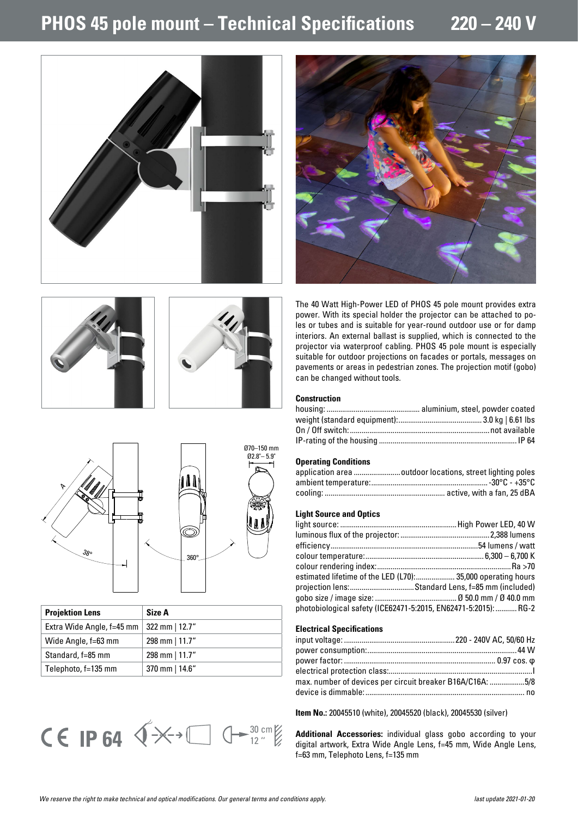# **PHOS 45 pole mount – Technical Specifications 220 – 240 V**





The 40 Watt High-Power LED of PHOS 45 pole mount provides extra power. With its special holder the projector can be attached to poles or tubes and is suitable for year-round outdoor use or for damp interiors. An external ballast is supplied, which is connected to the projector via waterproof cabling. PHOS 45 pole mount is especially suitable for outdoor projections on facades or portals, messages on pavements or areas in pedestrian zones. The projection motif (gobo) can be changed without tools.

## **Construction**

#### **Operating Conditions**

| application area outdoor locations, street lighting poles |
|-----------------------------------------------------------|
|                                                           |
|                                                           |

## **Light Source and Optics**

| estimated lifetime of the LED (L70): 35,000 operating hours     |
|-----------------------------------------------------------------|
| projection lens:Standard Lens, f=85 mm (included)               |
|                                                                 |
| photobiological safety (ICE62471-5:2015, EN62471-5:2015):  RG-2 |
|                                                                 |

#### **Electrical Specifications**

| max. number of devices per circuit breaker B16A/C16A: 5/8 |  |
|-----------------------------------------------------------|--|
|                                                           |  |
|                                                           |  |

**Item No.:** 20045510 (white), 20045520 (black), 20045530 (silver)

**Additional Accessories:** individual glass gobo according to your digital artwork, Extra Wide Angle Lens, f=45 mm, Wide Angle Lens, f=63 mm, Telephoto Lens, f=135 mm



| <b>Projektion Lens</b>    | Size A          |
|---------------------------|-----------------|
| Extra Wide Angle, f=45 mm | 322 mm $ 12.7"$ |
| Wide Angle, f=63 mm       | 298 mm $ 11.7"$ |
| Standard, f=85 mm         | 298 mm $ 11.7"$ |
| Telephoto, f=135 mm       | 370 mm   14.6"  |